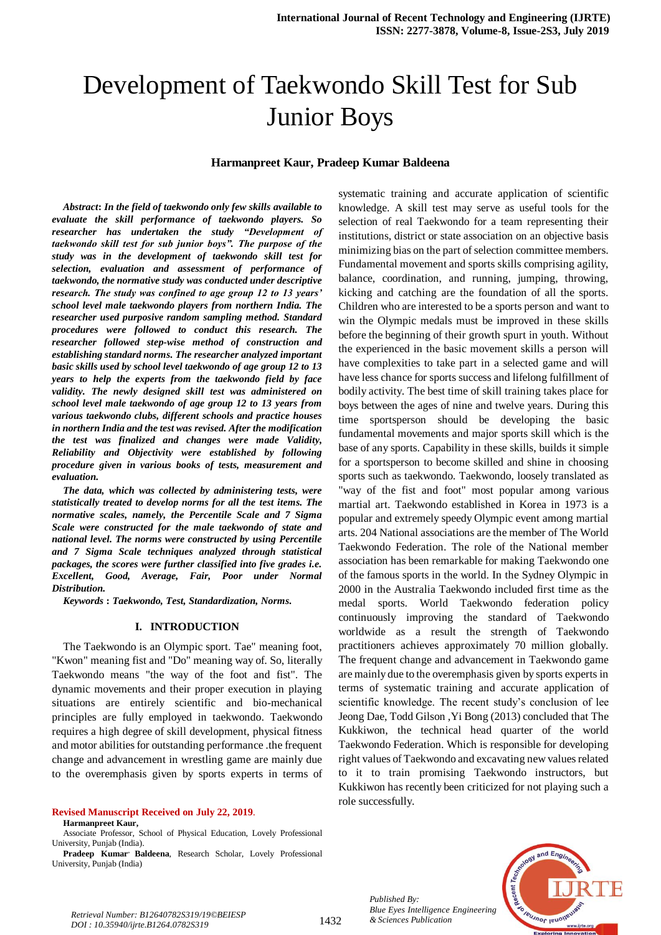# Development of Taekwondo Skill Test for Sub Junior Boys

#### **Harmanpreet Kaur, Pradeep Kumar Baldeena**

*Abstract***:** *In the field of taekwondo only few skills available to evaluate the skill performance of taekwondo players. So researcher has undertaken the study "Development of taekwondo skill test for sub junior boys". The purpose of the study was in the development of taekwondo skill test for selection, evaluation and assessment of performance of taekwondo, the normative study was conducted under descriptive research. The study was confined to age group 12 to 13 years' school level male taekwondo players from northern India. The researcher used purposive random sampling method. Standard procedures were followed to conduct this research. The researcher followed step-wise method of construction and establishing standard norms. The researcher analyzed important basic skills used by school level taekwondo of age group 12 to 13 years to help the experts from the taekwondo field by face validity. The newly designed skill test was administered on school level male taekwondo of age group 12 to 13 years from various taekwondo clubs, different schools and practice houses in northern India and the test was revised. After the modification the test was finalized and changes were made Validity, Reliability and Objectivity were established by following procedure given in various books of tests, measurement and evaluation.*

*The data, which was collected by administering tests, were statistically treated to develop norms for all the test items. The normative scales, namely, the Percentile Scale and 7 Sigma Scale were constructed for the male taekwondo of state and national level. The norms were constructed by using Percentile and 7 Sigma Scale techniques analyzed through statistical packages, the scores were further classified into five grades i.e. Excellent, Good, Average, Fair, Poor under Normal Distribution.*

*Keywords* **:** *Taekwondo, Test, Standardization, Norms.*

#### **I. INTRODUCTION**

The Taekwondo is an Olympic sport. Tae" meaning foot, "Kwon" meaning fist and "Do" meaning way of. So, literally Taekwondo means "the way of the foot and fist". The dynamic movements and their proper execution in playing situations are entirely scientific and bio-mechanical principles are fully employed in taekwondo. Taekwondo requires a high degree of skill development, physical fitness and motor abilities for outstanding performance .the frequent change and advancement in wrestling game are mainly due to the overemphasis given by sports experts in terms of

#### **Revised Manuscript Received on July 22, 2019**.

**Harmanpreet Kaur,** 

systematic training and accurate application of scientific knowledge. A skill test may serve as useful tools for the selection of real Taekwondo for a team representing their institutions, district or state association on an objective basis minimizing bias on the part of selection committee members. Fundamental movement and sports skills comprising agility, balance, coordination, and running, jumping, throwing, kicking and catching are the foundation of all the sports. Children who are interested to be a sports person and want to win the Olympic medals must be improved in these skills before the beginning of their growth spurt in youth. Without the experienced in the basic movement skills a person will have complexities to take part in a selected game and will have less chance for sports success and lifelong fulfillment of bodily activity. The best time of skill training takes place for boys between the ages of nine and twelve years. During this time sportsperson should be developing the basic fundamental movements and major sports skill which is the base of any sports. Capability in these skills, builds it simple for a sportsperson to become skilled and shine in choosing sports such as taekwondo. Taekwondo, loosely translated as "way of the fist and foot" most popular among various martial art. Taekwondo established in Korea in 1973 is a popular and extremely speedy Olympic event among martial arts. 204 National associations are the member of The World Taekwondo Federation. The role of the National member association has been remarkable for making Taekwondo one of the famous sports in the world. In the Sydney Olympic in 2000 in the Australia Taekwondo included first time as the medal sports. World Taekwondo federation policy continuously improving the standard of Taekwondo worldwide as a result the strength of Taekwondo practitioners achieves approximately 70 million globally. The frequent change and advancement in Taekwondo game are mainly due to the overemphasis given by sports experts in terms of systematic training and accurate application of scientific knowledge. The recent study's conclusion of lee Jeong Dae, Todd Gilson ,Yi Bong (2013) concluded that The Kukkiwon, the technical head quarter of the world Taekwondo Federation. Which is responsible for developing right values of Taekwondo and excavating new values related to it to train promising Taekwondo instructors, but Kukkiwon has recently been criticized for not playing such a role successfully.





*Bulle Eyes Intelligence*<br>1432 *& Sciences Publication Retrieval Number: B12640782S319/19©BEIESP DOI : 10.35940/ijrte.B1264.0782S319*

Associate Professor, School of Physical Education, Lovely Professional University, Punjab (India).

**Pradeep Kumar, Baldeena**, Research Scholar, Lovely Professional University, Punjab (India)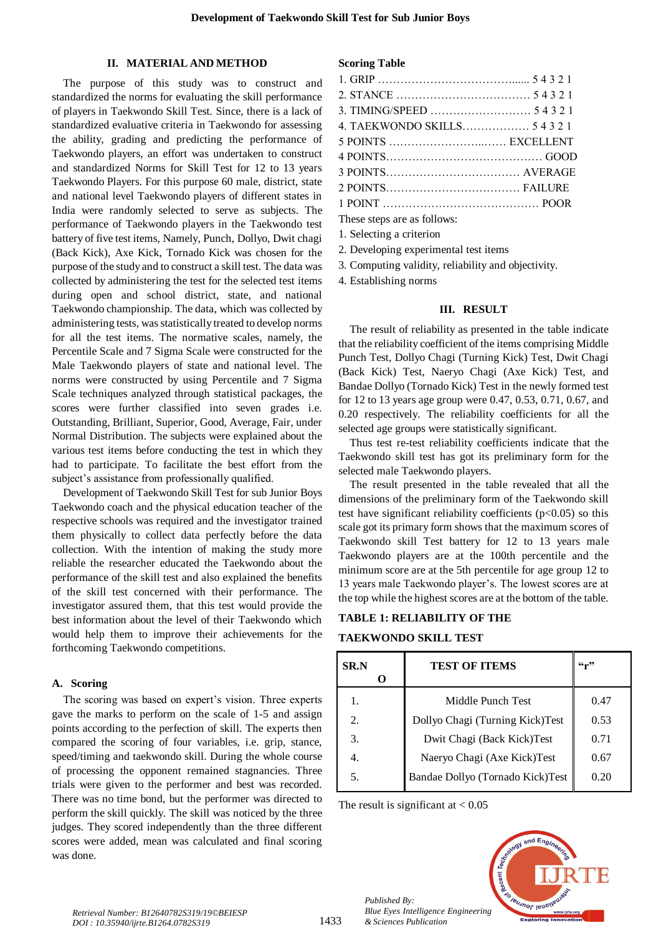#### **II. MATERIAL AND METHOD**

The purpose of this study was to construct and standardized the norms for evaluating the skill performance of players in Taekwondo Skill Test. Since, there is a lack of standardized evaluative criteria in Taekwondo for assessing the ability, grading and predicting the performance of Taekwondo players, an effort was undertaken to construct and standardized Norms for Skill Test for 12 to 13 years Taekwondo Players. For this purpose 60 male, district, state and national level Taekwondo players of different states in India were randomly selected to serve as subjects. The performance of Taekwondo players in the Taekwondo test battery of five test items, Namely, Punch, Dollyo, Dwit chagi (Back Kick), Axe Kick, Tornado Kick was chosen for the purpose of the study and to construct a skill test. The data was collected by administering the test for the selected test items during open and school district, state, and national Taekwondo championship. The data, which was collected by administering tests, was statistically treated to develop norms for all the test items. The normative scales, namely, the Percentile Scale and 7 Sigma Scale were constructed for the Male Taekwondo players of state and national level. The norms were constructed by using Percentile and 7 Sigma Scale techniques analyzed through statistical packages, the scores were further classified into seven grades i.e. Outstanding, Brilliant, Superior, Good, Average, Fair, under Normal Distribution. The subjects were explained about the various test items before conducting the test in which they had to participate. To facilitate the best effort from the subject's assistance from professionally qualified.

Development of Taekwondo Skill Test for sub Junior Boys Taekwondo coach and the physical education teacher of the respective schools was required and the investigator trained them physically to collect data perfectly before the data collection. With the intention of making the study more reliable the researcher educated the Taekwondo about the performance of the skill test and also explained the benefits of the skill test concerned with their performance. The investigator assured them, that this test would provide the best information about the level of their Taekwondo which would help them to improve their achievements for the forthcoming Taekwondo competitions.

#### **A. Scoring**

The scoring was based on expert's vision. Three experts gave the marks to perform on the scale of 1-5 and assign points according to the perfection of skill. The experts then compared the scoring of four variables, i.e. grip, stance, speed/timing and taekwondo skill. During the whole course of processing the opponent remained stagnancies. Three trials were given to the performer and best was recorded. There was no time bond, but the performer was directed to perform the skill quickly. The skill was noticed by the three judges. They scored independently than the three different scores were added, mean was calculated and final scoring was done.

#### **Scoring Table**

| 4. TAEKWONDO SKILLS 5 4 3 2 1 |  |
|-------------------------------|--|
| 5 POINTS  EXCELLENT           |  |
|                               |  |
|                               |  |
|                               |  |
|                               |  |
| These steps are as follows:   |  |
| 1. Selecting a criterion      |  |

2. Developing experimental test items

3. Computing validity, reliability and objectivity.

4. Establishing norms

#### **III. RESULT**

The result of reliability as presented in the table indicate that the reliability coefficient of the items comprising Middle Punch Test, Dollyo Chagi (Turning Kick) Test, Dwit Chagi (Back Kick) Test, Naeryo Chagi (Axe Kick) Test, and Bandae Dollyo (Tornado Kick) Test in the newly formed test for 12 to 13 years age group were 0.47, 0.53, 0.71, 0.67, and 0.20 respectively. The reliability coefficients for all the selected age groups were statistically significant.

Thus test re-test reliability coefficients indicate that the Taekwondo skill test has got its preliminary form for the selected male Taekwondo players.

The result presented in the table revealed that all the dimensions of the preliminary form of the Taekwondo skill test have significant reliability coefficients  $(p<0.05)$  so this scale got its primary form shows that the maximum scores of Taekwondo skill Test battery for 12 to 13 years male Taekwondo players are at the 100th percentile and the minimum score are at the 5th percentile for age group 12 to 13 years male Taekwondo player's. The lowest scores are at the top while the highest scores are at the bottom of the table.

#### **TABLE 1: RELIABILITY OF THE**

#### **TAEKWONDO SKILL TEST**

| <b>SR.N</b> | <b>TEST OF ITEMS</b>             | $66 - 22$ |
|-------------|----------------------------------|-----------|
|             | Middle Punch Test                | 0.47      |
| 2.          | Dollyo Chagi (Turning Kick)Test  | 0.53      |
| 3.          | Dwit Chagi (Back Kick)Test       | 0.71      |
| 4.          | Naeryo Chagi (Axe Kick)Test      | 0.67      |
| 5.          | Bandae Dollyo (Tornado Kick)Test | 0.20      |

The result is significant at  $< 0.05$ 

*Published By:*

*& Sciences Publication*